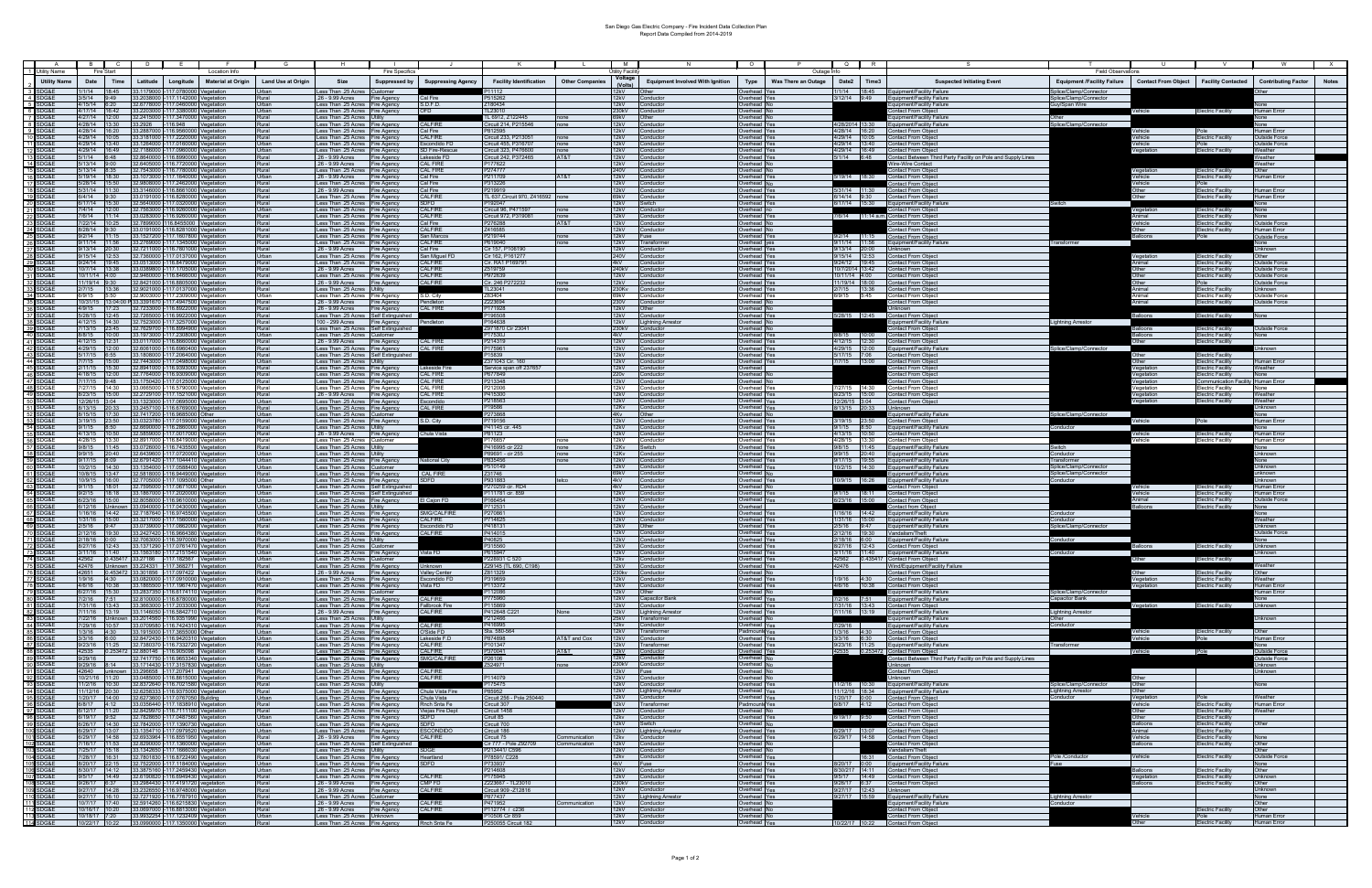## San Diego Gas Electric Company - Fire Incident Data Collection Plan Report Data Compiled from 2014-2019

|                                  | 1 Utility Name            | Fire Start                     |      |                                                    |                                                                                                                  | Location Info             |                           |                                                                                | <b>Fire Specifics</b>            |                                      |                                                  |                        | Jtility Facility<br>Voltage                                                                                                                                                                                                    |                                                  |                                            | Outage Infr         |                                 |                                                                                                | <b>Field Observations</b>                        |                                          |                                                        |                                       |              |
|----------------------------------|---------------------------|--------------------------------|------|----------------------------------------------------|------------------------------------------------------------------------------------------------------------------|---------------------------|---------------------------|--------------------------------------------------------------------------------|----------------------------------|--------------------------------------|--------------------------------------------------|------------------------|--------------------------------------------------------------------------------------------------------------------------------------------------------------------------------------------------------------------------------|--------------------------------------------------|--------------------------------------------|---------------------|---------------------------------|------------------------------------------------------------------------------------------------|--------------------------------------------------|------------------------------------------|--------------------------------------------------------|---------------------------------------|--------------|
| 3 SDG&E                          | <b>Utility Name</b>       | Date<br>1/1/14 18:45           | Time | Latitude                                           | Longitude<br>33.1179000 -117.0780000 Vegetation                                                                  | <b>Material at Origin</b> | <b>Land Use at Origin</b> | Size<br>ess Than .25 Acres                                                     | <b>Suppressed by</b><br>Customer | <b>Suppressing Agency</b>            | <b>Facility Identification</b>                   | <b>Other Companies</b> | 12kV —                                                                                                                                                                                                                         | <b>Equipment Involved With Ignition</b><br>Other | Type<br>verhead                            | Was There an Outage | Date2                           | Time3<br><b>Suspected Initiating Event</b><br>1/1/14 18:45 Equipment/Facility Failure          | <b>Equipment /Facility Failure</b>               | Contact From Object   Facility Contacted |                                                        | <b>Contributing Factor</b>            | <b>Notes</b> |
| 4 SDG&E                          |                           | $3/5/14$ 9:49                  |      |                                                    | 33.2038000 -117.1142000 Vegetation                                                                               |                           |                           | 26 - 9.99 Acres                                                                | Fire Agency                      | Cal Fire                             | P515262                                          |                        | 12kV                                                                                                                                                                                                                           | Conductor                                        | verhead Yes                                |                     | 3/12/14 9:49                    | Equipment/Facility Failure                                                                     | Splice/Clamp/Connector<br>Splice/Clamp/Connector |                                          |                                                        |                                       |              |
| 5 SDG&E<br>6 SDG&E               |                           | $4/15/14$ 6:20                 |      |                                                    | 32.6778000 -117.0460000 Vegetation<br>4/17/14 16:42 33.2203000 -117.3380000 Vegetation                           |                           | Jrban                     | Less Than .25 Acres Fire Agency<br>ess Than .25 Acres Fire Agency              |                                  | S.D.F.D.<br>OFD                      | 180434<br><b>L23010</b>                          |                        | 12kV<br>230kV                                                                                                                                                                                                                  | Conductor<br>Conductor                           | verhead<br>verhead                         |                     |                                 | quipment/Facility Failure<br>ontact From Object                                                | <b>Suy/Span Wire</b>                             | Vehicle                                  | <b>Electric Facility</b>                               | Human Error                           |              |
| 7 SDG&E<br>8 SDG&E               |                           |                                |      |                                                    | 4/27/14  12:00  32.2415000  -117.3470000  Vegetation<br>4/28/14 13:30 33.2926 -116.948 Vegetation                |                           | lauß                      | Less Than .25 Acres Utility                                                    |                                  | CALFIRE                              | <b>L 6912, Z122445</b>                           |                        | 69kV -<br>12kV Conductor                                                                                                                                                                                                       | Other                                            | verhead                                    |                     |                                 | Equipment/Facility Failure<br>4/28/2014 13:30 Equipment/Facility Failure                       | : Other                                          |                                          |                                                        |                                       |              |
| -9 1                             | SDG&E                     |                                |      |                                                    | 4/28/14  16:20  33.2887000  -116.9560000  Vegetation                                                             |                           | Rural<br>Rural            | Less Than .25 Acres Fire Agency<br>Less Than .25 Acres Fire Agency             |                                  | Cal Fire                             | Circuit 214, P215546<br>2812595                  | none                   | 12kV Conductor                                                                                                                                                                                                                 |                                                  | <b>Overhead</b> Yes<br><b>Overhead Yes</b> |                     |                                 | 4/28/14 16:20 Contact From Object                                                              | Splice/Clamp/Connector                           | /ehicle                                  | Pole                                                   | one<br><b>Human Error</b>             |              |
| 10<br>11                         | DG&E<br>SDG&E             |                                |      |                                                    | 4/29/14 10:05 33.3181000 -117.2220000 Vegetation<br>4/29/14 13:40 33.1264000 -117.0160000 Vegetation             |                           | Rural<br>Urban            | Less Than .25 Acres Fire Agency<br>Less Than .25 Acres Fire Agency             |                                  | CALFIRE<br>Escondido FD              | Circuit 233, P21305<br>Circuit 455, P31670       | none<br>none           | 12kV<br>12kV                                                                                                                                                                                                                   | Conductor<br>Conductor                           | Overhead Yes<br>Overhead Yes               |                     |                                 | 4/29/14 10:05 Contact From Object<br>4/29/14 13:40 Contact From Object                         |                                                  | /ehicle<br>/ehicle                       | <b>Electric Facility</b><br>Pole                       | <b>Outside Force</b><br>Outside Force |              |
|                                  | SDG&F                     |                                |      |                                                    | 4/29/14 16:49 32.7186000 -117.0960000 Vegetation                                                                 |                           | Urban                     | Less Than .25 Acres Fire Agency                                                |                                  | SD Fire-Rescue                       | Circuit 323, P476600                             | none                   | 12kV                                                                                                                                                                                                                           | Conductor                                        | Overhead Yes                               |                     |                                 | 4/29/14 16:49 Contact From Object                                                              |                                                  | Vegetation                               | <b>Electric Facility</b>                               | Weather                               |              |
| $14$ :                           | SDG&E<br>SDG&E            | $5/1/14$ 6:48<br>/13/14 9:00   |      | 32.6405000                                         | 32.8640000 -116.8990000 Vegetation<br>116.7720000 Vegetation                                                     |                           | Rural<br>Rural            | 26 - 9.99 Acres Fire Agency<br>.26 - 9.99 Acres                                | Fire Agency                      | Lakeside FD<br>CAL FIRE              | Circuit 242, P372465<br>P177622                  | AT&T                   | 12kV<br>12kV                                                                                                                                                                                                                   | Conductor<br>Conductor                           | Overhead Yes<br><b>Overhead</b>            |                     |                                 | 5/1/14 6:48 Contact Between Third Party Facility on Pole and Supply Lines<br>Vire-Wire Contact |                                                  |                                          |                                                        | Veather<br>Veather                    |              |
| 15<br>16                         | SDG&E<br>SDG&E            | 5/13/14 8:35<br>5/19/14 18:30  |      | 32.7543000                                         | 116.7780000 Vegetation<br>33.1073000 -117.1640000 Vegetation                                                     |                           | Rural<br>Urban            | Less Than .25 Acres Fire Agency<br>.26 - 9.99 Acres                            |                                  | CAL FIRE<br>Cal Fire                 | P274777<br>P211709                               | AT&T                   | 240V<br>12kV                                                                                                                                                                                                                   | Conductor<br>Conductor                           | verhead No<br>verhead Yes                  |                     |                                 | ontact From Object<br>5/19/14 18:30<br>Contact From Object                                     |                                                  | /ehicle                                  | Electric Facility<br>lectric Facility                  | ther<br>Human Error                   |              |
| 17                               | DG&F                      | /28/14 15:50                   |      | 32.9808000                                         | 117.2462000                                                                                                      | Vegetation                | Rural                     | ess Than .25 Acres Fire Agency                                                 | Fire Agency                      | Cal Fire                             | P313226                                          |                        | 12kV                                                                                                                                                                                                                           | Conductor                                        | verhead N                                  |                     |                                 | Contact From Object                                                                            |                                                  | Vehicle                                  | Pole                                                   |                                       |              |
| 18<br>19                         | DG&E<br>DG&E              | 6/4/14 9:30                    |      | /31/14 11:30 33.3146000<br>33.0191000              | 116.8661000<br>116.8280000                                                                                       | Vegetation<br>Vegetation  | रेural ।<br>रेural ।      | 26 - 9.99 Acres<br>ess Than .25 Acres Fire Agency                              | Fire Agency                      | Cal Fire<br>CALFIRE                  | 219919<br>TL 637, Circuit 970, Z416592           | none                   | 12kV<br>69kV                                                                                                                                                                                                                   | onductor<br>onductor                             | verhead Yes<br>verhead Yes                 |                     | 6/14/14 9:30                    | 5/31/14 11:30<br><b>Contact From Object</b><br>Contact From Objec                              |                                                  | ther                                     | Electric Facility<br>lectric Facility                  | Iuman Error<br>luman Error            |              |
| 20                               | SDG&E                     |                                |      |                                                    | 6/17/14 15:30 32.5640000 -117.0320000 Vegetation                                                                 |                           | Rural                     | ess Than .25 Acres Fire Agency                                                 |                                  | SDFD                                 | P192047                                          |                        | 12kV                                                                                                                                                                                                                           | Switch                                           | verhead Yes                                |                     |                                 | 6/17/14 15:30<br>Equipment/Facility Failure                                                    |                                                  |                                          |                                                        | lone                                  |              |
| 21<br>22                         | <b>SDG&amp;E</b><br>SDG&E |                                |      |                                                    | 7/4/14  12:00  32.7563000  -116.9260000  Vegetation<br>7/6/14  11:14  33.0283000  -116.9260000  Vegetation       |                           | Jrban<br>Rural            | ess Than .25 Acres Fire Agency<br>Less Than .25 Acres Fire Agency              |                                  | CALFIRE<br><b>CALFIRE</b>            | Circuit 96, P471597<br>Circuit 972, P319081      | none<br>none           | 12kV<br>12kV                                                                                                                                                                                                                   | Conductor<br>Conductor                           | verhead no<br><b>Overhead</b> Yes          |                     |                                 | Contact From Object<br>7/6/14 11:14 a.m. Contact From Object                                   |                                                  |                                          | <b>Electric Facility</b><br><b>Electric Facility</b>   | lone<br>Vone                          |              |
| 23<br>24 SDG&E                   | SDG&E                     | 8/28/14 9:30                   |      |                                                    | 7/22/14 10:25 32.7899000 116.8455000 Vegetation<br>33.0191000 -116.8281000 Vegetation                            |                           | Rural<br>Rural            | Less Than .25 Acres Fire Agency<br>Less Than .25 Acres Fire Agency             |                                  | Cal Fire<br><b>CALFIRE</b>           | P276288<br>7416585                               | AT&T                   | 12kV Conductor<br>12kV Conductor                                                                                                                                                                                               |                                                  | Overhead <sup>N</sup><br>Overhead N        |                     |                                 | Contact From Object<br>ontact From Object                                                      |                                                  | /ehicle                                  | <b>Electric Facility</b><br><b>Electric Facility</b>   | Outside Force<br>Human Error          |              |
| 25 SDG&E                         |                           |                                |      |                                                    | 9/2/14 11:15 33.1527200 -117.1607800 Vegetation                                                                  |                           | Rural                     | Less Than .25 Acres Fire Agency                                                |                                  | San Marcos                           | P219744                                          | none                   | 12kV Fuse                                                                                                                                                                                                                      |                                                  | Overhead Yes                               |                     |                                 | 9/2/14 11:15 Contact From Object                                                               |                                                  | <b>Balloons</b>                          | ءا∩⊂                                                   | <b>Outside Force</b>                  |              |
| 26<br>27 SDG&E                   | SDG&E                     | 9/13/14 20:30                  |      | 9/11/14 11:56 33.2769000<br>32.7211000             | -117.1345000 Vegetation<br>116,7801000 Vegetation                                                                |                           | Rural<br>Rural            | Less Than .25 Acres Fire Agency<br>26 - 9.99 Acres                             | Fire Agency                      | <b>CALFIRE</b><br>Cal Fire           | P619040<br>Cir 157, P106190                      | none                   | 12kV                                                                                                                                                                                                                           | 12kV Transformer<br>Conductor                    | <b>Overhead</b> yes<br><b>Overhead</b> Yes |                     |                                 | 9/11/14 11:56 Equipment/Facility Failure<br>9/13/14 20:00 Unknown                              | Transformer                                      |                                          |                                                        | lone<br><b>Jnknown</b>                |              |
| 28 SDG&E<br>29 SDG&E             |                           | 9/15/14 12:53<br>9/24/14 19:45 |      |                                                    | 32.7360000 -117.0137000 Vegetation<br>33.0513000 -116.8479000 Vegetation                                         |                           | Urban<br>Rural            | Less Than .25 Acres Fire Agency                                                |                                  | San Miguel FD<br><b>CALFIRE</b>      | Cir 162, P16127<br>Cir. RA1 P16979               |                        | <b>240V</b><br>4kV                                                                                                                                                                                                             | Conductor<br>Conductor                           | Verhead Yes<br><b>Overhead</b> Yes         |                     | $9/24/12$ 19:45                 | 9/15/14 12:53 Contact From Object<br><b>Contact From Object</b>                                |                                                  | Vegetation<br><b>nimal</b>               | <b>Electric Facility</b><br><b>Electric Facility</b>   | Other<br>Outside Force                |              |
| 30 <sup>°</sup><br>SDG&          |                           | 10/7/14 13:38                  |      |                                                    | 33.0389800 -117.1705000 Vegetation                                                                               |                           | Rural                     | Less Than .25 Acres Fire Agency<br>26 - 9.99 Acres                             | Fire Agency                      | <b>CALFIRE</b>                       | Z519759                                          |                        | 240kV                                                                                                                                                                                                                          | Conductor                                        | <b>Overhead</b> Yes                        |                     | 10/7/2014 13:42                 | <b>Contact From Objec</b>                                                                      |                                                  | Other                                    | <b>Electric Facility</b>                               | Outside Force                         |              |
| 31 SDG&E<br>32 SDG&E             |                           | 10/11/14 4:00<br>11/19/14 9:30 |      |                                                    | 32.9460000 -116.8466000 Vegetation<br>32.8421000 -116.8805000 Vegetation                                         |                           | Rural<br>Rural            | Less Than .25 Acres Fire Agency<br>.26 - 9.99 Acres                            | Fire Agency                      | CALFIRE<br>CALFIRE                   | P972639<br>Cir. 246 P27223:                      | none                   | 12kV<br>12kV                                                                                                                                                                                                                   | Conductor<br>Conductor                           | <b>Overhead Yes</b><br><b>Overhead Yes</b> |                     | 10/11/14 4:00<br>11/19/14 18:00 | <b>Contact From Object</b><br><b>Contact From Object</b>                                       |                                                  | )ther<br>)ther                           | <b>Electric Facility</b><br>Pole                       | Outside Force<br>Outside Force        |              |
| 33 SDG&E                         |                           |                                |      |                                                    | 2/7/15 13:36 32.9021000 -117.0137000 Vegetation                                                                  |                           | Rural                     | Less Than .25 Acres Utility                                                    |                                  |                                      | TL23041                                          | none                   | 230Kv Conductor                                                                                                                                                                                                                |                                                  | <b>Overhead Yes</b>                        |                     |                                 | 2/7/15 13:36<br><b>Contact From Object</b>                                                     |                                                  | Animal                                   | <b>Electric Facility</b>                               | <b>Jnknown</b>                        |              |
| 34 SDG&E<br>35 SDG&E<br>36 SDG&E |                           | 6/9/15 5:50                    |      |                                                    | 32.9003000 -117.2309000 Vegetation<br>10/31/15 13:04:00 P 33.3391670 -117.4947500 Vegetation                     |                           | Jrban<br>Rural            | Less Than .25 Acres Fire Agency<br>.26 - 9.99 Acres                            | Fire Agency                      | S.D. City<br>Pendleton               | 263404<br>2223694                                |                        | 69kV<br>230V                                                                                                                                                                                                                   | Conductor<br>Conductor                           | verhead Yes<br>Overhead N                  |                     | 6/9/15 5:45                     | ontact From Object<br>ontact From Object                                                       |                                                  | vnimal<br>Animal                         | <b>Electric Facility</b><br><b>Electric Facility</b>   | Outside Force<br>Outside Force        |              |
| 37                               | SDG&E                     |                                |      |                                                    | 4/9/15 17:23 32.7233000 -116.8922000 Vegetation<br>5/28/15  12:45  32.7265000  -116.9922000  Vegetation          |                           | Rural<br>Rural            | .26 - 9.99 Acres<br>Less Than .25 Acres Self Extinguished                      | Fire Agency                      | <b>CAL FIRE</b>                      | P171928<br>P196508                               |                        | 12kV Other<br>12kV Conductor                                                                                                                                                                                                   |                                                  | Overhead No<br>Overhead Yes                |                     |                                 | Jnknown<br>5/28/15 12:45 Contact From Object                                                   |                                                  | Balloons                                 | <b>Electric Facility</b>                               | lone                                  |              |
| 38 SDG&E                         |                           |                                |      |                                                    | 4/12/15  14:30  32.7523000 -117.3257000 Vegetation                                                               |                           | Rural                     | 100 - 299 Acres Fire Agency                                                    |                                  | Pendleton                            | 2164638                                          |                        |                                                                                                                                                                                                                                | 12kV Lightning Arresto                           | <b>Overhead</b>                            |                     |                                 | quipment/Facility Failure                                                                      | <b>Lightning Arrestor</b>                        |                                          |                                                        |                                       |              |
| 39<br>40 \$                      | SDG&E<br>SDG&E            | 8/8/15 10:00                   |      |                                                    | 7/13/15 23:45 32.7629700 -116.8994900 Vegetation<br>33.1973000 -117.2308000 Vegetation                           |                           | Rural<br>Urban            | Less Than .25 Acres Self Extinguished<br>Less Than .25 Acres Customer          |                                  |                                      | '971870 Cir 2304<br>217530J                      |                        | 230kV<br>4kV                                                                                                                                                                                                                   | Conductor<br>Conductor                           | Verhead<br><b>Overhead</b> Yes             |                     |                                 | ontact From Object<br>8/8/15 10:00 Contact From Objec                                          |                                                  | alloons<br><b>Jalloons</b>               | Flectric Facility<br>lectric Facility                  | Jutside Force<br>lone                 |              |
| 41 SDG&E                         |                           | 4/12/15 12:31                  |      |                                                    | 33.0117000 -116.8660000 Vegetation                                                                               |                           | Rural                     | 26 - 9.99 Acres                                                                | Fire Agency                      | <b>CAL FIRE</b>                      | P214319                                          |                        | 12kV                                                                                                                                                                                                                           | Conductor                                        | verhead Yes                                |                     |                                 | 4/12/15 12:30 Contact From Object                                                              |                                                  |                                          | Electric Facility                                      |                                       |              |
| 42<br>SDG&E<br>43 SDG&E          |                           | 4/29/15 12:00<br>5/17/15 6:55  |      | 32.6061000<br>33.1808000                           | 116.6960400 Vegetation<br>-117.2064000 Vegetation                                                                |                           | Rural<br>Rural            | Less Than .25 Acres Fire Agency<br>ess Than .25 Acres Self Extinguished        |                                  | <b>CAL FIRE</b>                      | 2175961<br>15839                                 |                        | 12kV<br>12kV                                                                                                                                                                                                                   | Conductor<br>Conductor                           | verhead Yes<br>verhead Yes                 |                     | 4/29/15 12:00<br>5/17/15 7:06   | Equipment/Facility Failure<br><b>Contact From Object</b>                                       | Splice/Clamp/Connector                           | )ther                                    | lectric Facility                                       | Jnknown                               |              |
| 44 SDG&E<br>45 SDG&E             |                           | 7/7/15 15:00<br>2/11/15 15:30  |      | 32.7443000<br>32.8941000                           | 117.0498000 Vegetation                                                                                           |                           | Urban<br>Rural            | ess Than .25 Acres Utility                                                     |                                  |                                      | 371043 Cir. 16                                   |                        | 12kV<br>12kV                                                                                                                                                                                                                   | Conductor<br>Conductor                           | verhead<br>verhead                         |                     | 7/7/15 13:00                    | <b>Contact From Object</b><br>ontact From Object                                               |                                                  | Other                                    | lectric Facility<br>lectric Facility                   | Human Error<br>Weather                |              |
| 46                               |                           | 4/18/15 12:00                  |      | 32.7764000                                         | 116.9393000 Vegetation<br>16.9309000 Vegetation                                                                  |                           | Rural                     | Less Than .25 Acres Fire Agency<br>ess Than .25 Acres Fire Agency              |                                  | Lakeside Fire<br><b>CAL FIRE</b>     | Service span off 237657<br>9677849               |                        |                                                                                                                                                                                                                                | onductor                                         | verhead                                    |                     |                                 | ontact From Object                                                                             |                                                  | /egetation<br>Vegetation                 | lectric Facility                                       | lone                                  |              |
| 47 SDG&E<br>48 SDG&E             |                           | 7/17/15 9:48<br>7/27/15 14:30  |      | 33.1750420<br>33.0665000                           | 117.0125000 Vegetation<br>116.5790000 Vegetation                                                                 |                           | Rural<br>Rural            | Less Than .25 Acres Fire Agency<br>Less Than .25 Acres Fire Agency             |                                  | CAL FIRE<br>CAL FIRE                 | P213348<br>P212006                               |                        | 12kV<br>12kV                                                                                                                                                                                                                   | Conductor<br>Conductor                           | Verhead N<br><b>Overhead Yes</b>           |                     |                                 | Contact From Object<br>7/27/15 14:30<br>Contact From Object                                    |                                                  | Vegetation<br>/egetation                 | ommunication Facility Human Error<br>Electric Facility | None                                  |              |
| 49<br>SDG&R                      |                           |                                |      |                                                    | 8/23/15 15:00 32.2729100 -117.1521000 Vegetation                                                                 |                           | Rural                     | 26 - 9.99 Acres Fire Agency                                                    |                                  | CAL FIRE                             | P415300                                          |                        | 12kV                                                                                                                                                                                                                           | Conductor                                        | Overhead Yes                               |                     |                                 | 8/23/15 15:00 Contact From Object                                                              |                                                  | Vegetation                               | lectric Facility                                       | Weather                               |              |
| 50 SDG&E<br>51 SDG&E             |                           | 12/26/15 3:04                  |      |                                                    | 33.1323000 -117.0695000 Vegetation<br>8/13/15 20:33 33.2457100 -116.6769000 Vegetation                           |                           | Urban<br>Rural            | Less Than .25 Acres Fire Agency<br>Less Than .25 Acres Fire Agency             |                                  | scondido<br><b>CAL FIRE</b>          | P218563<br>P19586                                |                        | 12kV<br>12Kv                                                                                                                                                                                                                   | Conductor<br>Conductor                           | Verhead Yes<br><b>Overhead</b> Yes         |                     |                                 | 12/26/15 3:04<br>Contact From Object<br>8/13/15 20:33 Unknown                                  |                                                  |                                          | Electric Facility                                      | Weather<br>Jnknown                    |              |
| 52 SDG&E<br>53 SDG&E             |                           |                                |      |                                                    | 8/15/15 17:30 32.7417200 -116.9685000 Other<br>3/19/15 23:50 33.0323780 -117.0159000 Vegetation                  |                           | Urban<br>Rural            | Less Than .25 Acres Customer<br>Less Than .25 Acres Fire Agency                |                                  | S.D. City                            | P273868<br>P719156                               |                        | 4Kv<br>12kV                                                                                                                                                                                                                    | ∩ther<br>Conductor                               | <b>Overhead</b><br>verhead Yes             |                     |                                 | Equipment/Facility Failure<br>3/19/15 23:50 Contact From Object                                | Splice/Clamp/Connector                           |                                          | Pole                                                   | lone<br>Human Frro                    |              |
| 54 SDG&E                         |                           | $9/1/15$ $8.50$                |      |                                                    | 32.6690000 -116.2860000 Vegetation                                                                               |                           | Rural                     | Less Than .25 Acres Utility                                                    |                                  |                                      | P41145 cir. 445                                  |                        | 12kV                                                                                                                                                                                                                           | Conductor                                        | verhead Yes                                |                     |                                 | 9/1/15 8:50 Equipment/Facility Failure                                                         | Conductor                                        | Vehicle                                  |                                                        | lone                                  |              |
| 55 SDG&E<br>56 SDG&E             |                           | 4/13/15 10:50<br>4/28/15 13:30 |      |                                                    | 32.5859000 -117.0017000 Vegetation<br>32.8917000 -116.8419000 Vegetation                                         |                           | Rural<br>Rural            | .26 - 9.99 Acres<br>Less Than .25 Acres                                        | Fire Agency<br>Customer          | Chula Vista                          | P81123<br>176657                                 | none                   | 12kV<br>12kV                                                                                                                                                                                                                   | Conductor<br>Conductor                           | verhead Yes<br>verhead Yes                 |                     |                                 | 4/13/15 10:50 Contact From Object<br>4/28/15 13:30 Contact From Object                         |                                                  | Vehicle<br>Vehicle                       | <b>Electric Facility</b><br>Electric Facility          | Human Error<br>Human Error            |              |
| 57 SDG&E                         |                           |                                |      |                                                    | 9/8/15  11:45  33.0726000  -116.7435500  Vegetation                                                              |                           | Rural                     | Less Than .25 Acres Utility                                                    |                                  |                                      | 2416995 cir 222                                  | none                   | 12Kv                                                                                                                                                                                                                           | Switch                                           | verhead Yes                                |                     |                                 | 9/8/15 11:45 Equipment/Facility Failure                                                        | Switch                                           |                                          |                                                        | one                                   |              |
| 58 SDG&E<br>59 SDG&E             |                           | 9/9/15 20:40<br>9/17/15 8:09   |      | 32.6439600 -117.0720000                            | 32.6791420 -117.1044410 Vegetation                                                                               | Vegetation                | Urban<br>Urban            | Less Than .25 Acres Utility<br>Less Than .25 Acres Fire Agency                 |                                  | <b>National City</b>                 | 289691 - cir 25<br>2835456                       | none<br>none           | 12Kv<br>12kV                                                                                                                                                                                                                   | Conductor<br>Conductor                           | verhead Yes<br><b>Overhead</b> Yes         |                     |                                 | 9/9/15 20:40 Equipment/Facility Failure<br>9/17/15 19:55 Equipment/Facility Failure            | Conductor<br>Transformer                         |                                          |                                                        | Jnknown<br>lone                       |              |
| 60<br>61 SDG&E                   | SDG&E                     |                                |      |                                                    | 10/2/15   14:30   33.1354000   -117.0588400   Vegetation<br>10/8/15  13:47  32.5818000  -116.9449000  Vegetation |                           | Urban<br>Rural            | Less Than .25 Acres Customer                                                   |                                  | CAL FIRE                             | °510149<br>Z31746                                |                        | 12kV<br>69kV                                                                                                                                                                                                                   | Conductor<br>Conductor                           | Overhead Yes<br>Overhead No                |                     |                                 | 10/2/15 14:30 Equipment/Facility Failure<br>Equipment/Facility Failure                         | Splice/Clamp/Connector<br>Splice/Clamp/Connector |                                          |                                                        | Jnknown<br>unknown                    |              |
| 62                               | DG&F                      | 10/9/15 16:00                  |      |                                                    | 32.7705000 -117.1095000 Other                                                                                    |                           | Urban                     | Less Than .25 Acres Fire Agency<br>Less Than .25 Acres Fire Agency             |                                  | SDFD                                 | P931883                                          |                        | 4kV                                                                                                                                                                                                                            | Conductor                                        | Overhead Yes                               |                     |                                 | 10/9/15 16:26 Equipment/Facility Failure                                                       | Conductor                                        |                                          |                                                        | Jnknown                               |              |
| 63<br>64                         | SDG&E<br>SDG&E            |                                |      |                                                    | 9/1/15 18:01 32.7595000 -117.0671000 Vegetation<br>9/2/15 18:18 33.1867000 -117.2020000 Vegetation               |                           | Urban<br>Urban            | Less Than .25 Acres Self Extinguished<br>Less Than .25 Acres Self Extinguished |                                  |                                      | <sup>2</sup> 270259 cir. RD4<br>P111781 cir. 859 |                        | 4kV<br>12kV                                                                                                                                                                                                                    | Conductor<br>Conductor                           | Overhead No<br>Overhead Yes                |                     | 9/1/15 18:11                    | Contact From Object<br>Contact From Object                                                     |                                                  | /ehicle<br>/ehicle                       | Electric Facility<br>Electric Facility                 | Human Error<br>Human Error            |              |
| 65                               | SDG&F<br>SDG&I            |                                |      |                                                    | 3/23/16  15:00  32.8058000 -116.9610000 Vegetation                                                               |                           | Jrban                     | Less Than .25 Acres Fire Agency                                                |                                  | El Cajon FD                          | 166454                                           |                        | 12kV<br>12kV                                                                                                                                                                                                                   | Conductor                                        | Overhead Yes                               |                     |                                 | <b>Contact From Object</b><br>6/23/16 15:00                                                    |                                                  | Animal                                   | lectric Facility                                       | Outside Force                         |              |
| 67 SDG&E                         |                           |                                |      |                                                    | 6/12/16 Unknown 33.0940000 -117.0430000 Vegetation<br>1/16/16  14:42  32.7187640  -116.9745500                   | Vegetation                | Irban<br>Jrban            | Less Than .25 Acres Utility<br>Less Than .25 Acres Fire Agency                 |                                  | SMG/CALFIRE                          | 712531<br>270861                                 |                        | 12kV                                                                                                                                                                                                                           | Conductor<br>Conductor                           | verhead<br>verhead                         |                     |                                 | Contact from Obiect<br>1/16/16 14:42 Equipment/Facility Failure                                | Conductor                                        |                                          | lectric Facility                                       | lone<br>lone                          |              |
| 68                               | SDG&E<br><b>SDG&amp;E</b> | 1/31/16 15:00<br>$2/5/16$ 9:47 |      | 33.3217000 -117.1560000<br>33.0739000 -117.0862000 |                                                                                                                  | √eɑetation<br>√eɑetation  | Irban<br>Rural            | ess Than .25 Acres Fire Agency<br>ess Than .25 Acres Fire Agency               |                                  | <b>CALFIRE</b><br>Escondido FD       | 2714625<br>P418131                               |                        | 12kV<br>12kV                                                                                                                                                                                                                   | Conductor<br>Other                               | verhead Yes<br>verhead Yes                 |                     | 2/5/16 9:47                     | 1/31/16 15:00<br>Equipment/Facility Failure<br><b>Equipment/Facility Failure</b>               | Conductor<br>Splice/Clamp/Connector              |                                          |                                                        | Weather<br><b>Jnknown</b>             |              |
| 70                               | <b>SDG&amp;E</b>          | 2/12/16 19:30                  |      |                                                    | 33.2427420 -116.9664380                                                                                          | √eɑetation                | Rural                     | ess Than .25 Acres Fire Agency                                                 |                                  | CALFIRE                              | P414015                                          |                        | 12kV                                                                                                                                                                                                                           | Conductor                                        | verhead Yes                                |                     |                                 | 2/12/16 19:30 Vandalism/Theft                                                                  |                                                  |                                          |                                                        | Outside Force                         |              |
| 71                               | DG&E<br>SDG&E             | 2/18/16 0:00                   |      | 32.7063000                                         | 116.397000<br>8/27/16  12:43  33.1371290  -117.0761470  Vegetation                                               | √eɑetation                | Rural                     | ess Than .25 Acres Utility<br>Less Than .25 Acres Customer                     |                                  |                                      | 240825<br>315560                                 |                        | 12kV<br>12kV                                                                                                                                                                                                                   | Conductor<br>Conductor                           | verhead Yes<br>verhead Yes                 |                     | 2/18/16 6:00                    | Equipment/Facility Failure<br>8/27/16 12:43 Contact From Object                                | Conductor                                        | Balloons                                 | <b>Electric Facility</b>                               | lone<br>Unknown                       |              |
| 73 SDG&E                         |                           |                                |      |                                                    | 3/11/16 11:40 33.1563180 -117.2151540 Vegetation                                                                 |                           | Urban                     | Less Than .25 Acres Fire Agency                                                |                                  | Vista FD                             | P615947                                          |                        | 12kV                                                                                                                                                                                                                           | Conductor                                        | Verhead Yes                                |                     |                                 | 3/11/16 11:40 Equipment/Facility Failure                                                       | Conductor                                        |                                          |                                                        | Jnknown                               |              |
| 75 SDG&E                         |                           |                                |      |                                                    | 42476 Unknown 33.224331 -117.368271 Vegetation                                                                   |                           | Rural                     | Less Than .25 Acres Fire Agency                                                |                                  | Unknown                              | Z29145 (TL 690, C198)                            |                        | 12kV Conductor                                                                                                                                                                                                                 |                                                  | Overhead Yes                               |                     | 42476                           | Wind/Equipment/Facility Failure                                                                |                                                  |                                          |                                                        | Weather                               |              |
| 76<br>77 SDG&E                   | SDG&E                     | 42651                          |      |                                                    | 0.453472 33.301856 -117.097422 Vegetation<br>1/9/16 4:30 33.0820000 -117.0910000 Vegetation                      |                           | Rural<br>Urban            | .26 - 9.99 Acres<br>Less Than .25 Acres Fire Agency                            | Fire Agency                      | <b>Valley Center</b><br>Escondido FD | 7811329<br>P319659                               |                        | 230kv Conductor                                                                                                                                                                                                                | 12kV Conductor                                   | Overhead No<br>Overhead Yes                |                     | 1/9/16 4:30                     | Contact From Obiect<br>Contact From Object                                                     |                                                  | Other<br>/egetation                      | <b>Electric Facility</b><br><b>Flectric Facility</b>   | Other<br>Weather                      |              |
| $78$ :<br><b>SDG&amp;F</b>       |                           |                                |      |                                                    | 4/6/16  10:38  33.1865500  -117.1967470  Vegetation                                                              |                           | Rural                     | Less Than .25 Acres Fire Agency                                                |                                  | Vista FD                             | P113372                                          |                        |                                                                                                                                                                                                                                | 12kV Conductor                                   | <b>Overhead</b> Yes                        |                     | 4/6/16 10:38                    | Contact From Object                                                                            |                                                  | /egetation                               | <b>Electric Facility</b>                               | <b>Human Error</b>                    |              |
| 79 SDG&E<br>80 SDG&E             |                           |                                |      |                                                    | 6/27/16 15:30 33.2837350 -116.6174110 Vegetation<br>7/2/16 7:51 32.8100000 -116.8780000 Vegetation               |                           | Rural<br>Rural            | Less Than .25 Acres Customer<br>Less Than .25 Acres Fire Agency                |                                  | CALFIRE                              | P112086<br>P775960                               |                        | 12kV Other                                                                                                                                                                                                                     | 12kV Capacitor Bank                              | verhead N<br>verhead Yes                   |                     |                                 | Equipment/Facility Failure<br>7/2/16 7:51 Equipment/Facility Failure                           | Splice/Clamp/Connector<br>Capacitor Bank         |                                          |                                                        | <b>Human Error</b><br>None            |              |
| 81 SDG&E                         |                           |                                |      |                                                    | 7/31/16  13:43  33.3663000 -117.2033000 Vegetation                                                               |                           | Rural                     | Less Than .25 Acres Fire Agency                                                |                                  | Fallbrook Fire                       | P115869                                          |                        |                                                                                                                                                                                                                                | 12kV Conductor                                   | verhead Yes                                |                     |                                 | 7/31/16 13:43 Contact From Object                                                              |                                                  | Vegetation                               | <b>Electric Facility</b>                               | Unknown                               |              |
| 82 SDG&E<br>83 SDG&E             |                           |                                |      |                                                    | 7/11/16  13:19  33.1146050 -116.5842710 Vegetation<br>7/22/16 Unknown 33.2014560 -116.9351990 Vegetation         |                           | Rural<br>Rural            | 26 - 9.99 Acres Fire Agency<br>Less Than .25 Acres Utility                     |                                  | CALFIRE                              | P412648 C22<br>P212466                           | None                   |                                                                                                                                                                                                                                | 12kV Lightning Arresto<br>25kV Transformer       | verhead Yes<br>verhead                     |                     |                                 | 7/11/16 13:19 Equipment/Facility Failure<br><b>Equipment/Facility Failure</b>                  | Lightning Arrestor                               |                                          |                                                        | nknown                                |              |
| 84 SDG&E<br>85 SDG&E             |                           |                                |      |                                                    | 7/29/16  10:57  33.0709580  -116.7424310  Vegetation<br>1/3/16 4:30 33.1915000 -117.3655000 Other                |                           | Rural<br>Urban            | Less Than .25 Acres Fire Agency<br>Less Than .25 Acres Fire Agency             |                                  | <b>CALFIRE</b><br>O'Side FD          | P416995<br>Sta. 580-564                          |                        |                                                                                                                                                                                                                                | 12kv Conductor<br>12kV Transformer               | verhead Yes<br>Padmounte Yes               |                     | 7/29/16                         | <b>Equipment/Facility Failure</b><br>1/3/16 4:30 Contact From Object                           | Conductor                                        | /ehicle                                  | <b>Electric Facility</b>                               | Other                                 |              |
| 86                               | SDG&F                     |                                |      |                                                    | 3/3/16 6:00 32.8472430 -116.9420310 Vegetation                                                                   |                           | Urban                     | Less Than .25 Acres Fire Agency                                                |                                  | Lakeside F.D                         | P874898                                          | AT&T and Cox           |                                                                                                                                                                                                                                | 12kV Conductor                                   | Overhead Yes                               |                     |                                 | 3/3/16 6:30 Contact From Object                                                                |                                                  | /ehicle                                  | Pole                                                   | Human Frror                           |              |
| 87 SDG&E<br>88                   | SDG&E                     |                                |      |                                                    | 9/23/16  11:25  32.7380370  -116.7332720  Vegetation<br>42535 0.253472 32.880146 -116.905098 Vegetation          |                           | Rural<br>Rural            | Less Than .25 Acres Fire Agency<br><b>Less Than .25 Acres</b> Fire Agency      |                                  | CALFIRE<br><b>CALFIRE</b>            | P101347<br>P370041                               | T&TA                   | 12kV Conductor                                                                                                                                                                                                                 | 12kV Transformer                                 | Overhead Yes<br>Overhead Yes               |                     |                                 | 9/23/16 11:25 Equipment/Facility Failure<br>42535 0.253472 Contact From Object                 | Transformer                                      | Vehicle                                  | Pole                                                   | lone<br>Outside Force                 |              |
|                                  | SDG&F                     | 9/29/16                        |      |                                                    | 32.7417750 -116.9653340 Vegetation                                                                               |                           | Urban                     | Less Than .25 Acres Fire Agency                                                |                                  | SMG/CALFIRE                          | P26106                                           |                        | 12kV Conductor                                                                                                                                                                                                                 |                                                  | Overhead No                                |                     |                                 | Contact Between Third Party Facility on Pole and Supply Lines                                  |                                                  |                                          |                                                        | Outside Force                         |              |
| 90<br>91<br>SDG&F                | DG&F                      | $9/29/16$ 8:14                 |      |                                                    | 33.1714430 -117.3157830 Vegetation<br>42640 unknown 33.296658 -117.207941 Vegetation                             |                           | Urban<br>Rural            | Less Than .25 Acres Utility<br>Less Than .25 Acres Fire Agency                 |                                  | CALFIRE                              | Z524971                                          | none                   | 230kV Conductor<br>12kV Fuse                                                                                                                                                                                                   |                                                  | Overhead  <br>Overhead N                   |                     |                                 | <u>Jnknown</u><br>Contact From Object                                                          |                                                  |                                          |                                                        | <u>Unknown</u><br>Unknown             |              |
| 92 SDG&E<br>93 SDG&E             |                           |                                |      |                                                    | 10/21/16 11:20 33.0485000 -116.8615000 Vegetation<br>11/2/16  10:30  32.8372640  -116.7021580  Vegetation        |                           | Rural<br>Rural            | Less Than .25 Acres Fire Agency<br>Less Than .25 Acres Utility                 |                                  | <b>CALFIRE</b>                       | P114079<br>2175475                               |                        | 12kV Conductor<br>12kV Conductor                                                                                                                                                                                               |                                                  | Overhead No<br><b>Overhead</b> Yes         |                     |                                 | Jnknown<br>11/2/16 10:30 Equipment/Facility Failure                                            | Splice/Clamp/Connector                           | <b>Other</b><br>Other                    |                                                        | Vone                                  |              |
| 94                               | SDG&E                     |                                |      |                                                    | 11/12/16 20:30 32.6258333 -116.9375000 Vegetation                                                                |                           | Rural                     | Less Than .25 Acres Fire Agency                                                |                                  | Chula Vista Fire                     |                                                  |                        |                                                                                                                                                                                                                                | 12kV Lightning Arresto                           | verhead Yes                                |                     |                                 | 11/12/16 18:34<br>Equipment/Facility Failure                                                   | <b>Lightning Arrestor</b>                        | Other                                    |                                                        |                                       |              |
| 95<br>96                         | DG&E<br>SDG&E             |                                |      |                                                    | 1/20/17  14:00  32.6273600 -117.0767050 Building<br>6/8/17 4:12 33.0356440 -117.1838910 Vegetation               |                           | Jrban<br>Rural            | Less Than .25 Acres Fire Agency<br>Less Than .25 Acres Fire Agency             |                                  | Chula Vista<br>Rnch Snta Fe          | ircuit 256 - Pole 250440<br>Circuit 307          |                        | 12kV<br>12kV                                                                                                                                                                                                                   | Conductor<br>Transformer                         | verhead Yes<br>admounte Yes                |                     | 1/20/17 0:00<br>6/8/17 4:12     | Contact From Object<br>Contact From Object                                                     | Conductor                                        | /egetation<br>/ehicle                    | <b>Electric Facility</b>                               | Veather<br>Human Error                |              |
| 97 SDG&E                         |                           |                                |      |                                                    | 6/12/17 11:20 32.8429970 -116.7111100 Vegetation                                                                 |                           | Rural                     | Less Than .25 Acres Fire Agency                                                |                                  | Viejas Fire Dept                     | Circuit 1458                                     |                        | 12kV Conductor<br>12kv Conductor                                                                                                                                                                                               |                                                  | Overhead No                                |                     |                                 | Contact From Object                                                                            |                                                  | <b>Other</b>                             | <b>Electric Facility</b>                               | Weather                               |              |
| 98 SDG&E<br>99                   | SDG&E                     |                                |      |                                                    | 6/19/17 9:52 32.7828650 -117.0487560 Vegetation<br>6/26/17  14:30  32.7842000  -117.1390730  Vegetation          |                           | Urban<br>Urban            | Less Than .25 Acres Fire Agency<br>Less Than .25 Acres Fire Agency             |                                  | SDFD<br>SDFD                         | Ciruit 85<br>Circuit 700                         |                        | 12kV Switch                                                                                                                                                                                                                    |                                                  | Verhead Yes<br><b>Overhead</b>             |                     |                                 | 6/19/17 9:50 Contact From Object<br>Contact From Object                                        |                                                  | Other<br>Balloons                        | <b>Electric Facility</b><br><b>Electric Facility</b>   | Other                                 |              |
| 100 SDG&E<br>101 SDG&F           |                           |                                |      |                                                    | 6/29/17 13:07 33.1354710 -117.0979520 Vegetation<br>6/29/17  14:58  32.6933964  -116.8551950  Vegetation         |                           | Urban<br>Rural            | Less Than .25 Acres Fire Agency<br>.26 - 9.99 Acres Fire Agency                |                                  | <b>ESCONDIDO</b><br><b>CALFIRE</b>   | Circuit 186<br>Circuit 75                        | Communication          | 12kv Conductor                                                                                                                                                                                                                 | 12kV Lightning Arrestor                          | Overhead Yes<br>Overhead Yes               |                     |                                 | 6/29/17 13:07 Contact From Object<br>6/29/17 14:58 Contact From Object                         |                                                  | Animal<br>Vehicle                        | <b>Electric Facility</b><br><b>Electric Facility</b>   | None                                  |              |
| 102 SDG&F                        |                           |                                |      |                                                    | 7/16/17  11:53  32.8290000 -117.1360000 Vegetation                                                               |                           | Urban                     | Less Than .25 Acres Self Extinguished                                          |                                  |                                      | Cir 777 - Pole Z92709                            | ommunication           | 12kV Conductor                                                                                                                                                                                                                 |                                                  | Overhead N                                 |                     |                                 | Contact From Obiect                                                                            |                                                  | <b>Balloons</b>                          | <b>Electric Facility</b>                               | Other                                 |              |
| 103 SDG&F<br>104 SDG&E           |                           |                                |      |                                                    | 7/25/17  15:18  33.1342650  -117.1666030  Vegetation<br>7/28/17 16:31 32.7801830 -116.8722490 Vegetation         |                           | Rural<br>Rural            | Less Than .25 Acres Utility<br>Less Than .25 Acres Fire Agency                 |                                  | <b>SDGE</b><br>Heartland             | P213441/C596<br>P78591/C228                      |                        | 12kV Conductor<br>12kv Conductor                                                                                                                                                                                               |                                                  | Verhead<br><b>Overhead</b> Yes             |                     |                                 | Vandalism/Theft<br>16:31 Contact From Object                                                   | Pole /Conductor                                  | Vehicle                                  | <b>Electric Facility</b>                               | ther<br>Outside Force                 |              |
| 105 SDG&E                        |                           |                                |      |                                                    | 8/20/17 22:15 32.7522000 -117.1184000 Vegetation                                                                 |                           | Urban                     | Less Than .25 Acres Fire Agency                                                |                                  | <b>SDFD</b>                          | P733937                                          |                        | 4kV and the set of the set of the set of the set of the set of the set of the set of the set of the set of the set of the set of the set of the set of the set of the set of the set of the set of the set of the set of the s | Fuse                                             | <b>Overhead</b> Yes                        |                     | 8/20/17 0:00                    | Equipment/Facility Failure                                                                     | <b>Fuse</b>                                      |                                          |                                                        | None                                  |              |
| 106 SDG&E<br>107                 | SDG&E                     |                                |      |                                                    | 8/30/17  14:12  33.3875160  -117.2459430  Vegetation<br>9/5/17  14:49  32.6190820  -116.6949430  Vegetation      |                           | Urban<br>Rural            | Less Than .25 Acres Fire Agency<br>Less Than .25 Acres Fire Agency             |                                  | CALFIRE                              | P214608<br>2175945                               |                        | 12kV Conductor<br>12kV Conductor                                                                                                                                                                                               |                                                  | verhead Yes<br>verhead Yes                 |                     |                                 | 8/30/217 14:11 Contact From Object<br>9/5/17 14:49 Contact From Object                         |                                                  | alloons<br>/egetation                    | lectric Facility<br>lectric Facility                   | Other<br>Unknown                      |              |
| 108 SDG&E<br>109 SDG&E           |                           | 9/26/17 6:37                   |      |                                                    | 33.2984430 -117.4191720 vegetation<br>9/27/17  14:28  33.2326550 -116.9748000 Vegetation                         |                           | Rural<br>Rural            | 26 - 9.99 Acres<br>26 - 9.99 Acres                                             | Fire Agency<br>Fire Agency       | CMP FD<br><b>CALFIRE</b>             | Z223667 - TL23010<br>Circuit 909 -Z12816         |                        | 230kV Conductor<br>12kV Conductor                                                                                                                                                                                              |                                                  | verhead Yes<br>verhead Yes                 |                     | 9/26/17 6:37                    | <b>Contact From Object</b><br>9/27/17 12:43 Unknown                                            |                                                  | alloons                                  | Electric Facility                                      | Other<br>Jnknown                      |              |
| 110 SDG&E                        |                           |                                |      |                                                    | 9/27/17  16:10  32.7271920  -116.7787910  Vegetation                                                             |                           | Rural                     | Less Than .25 Acres Customer                                                   |                                  |                                      | P877437                                          |                        |                                                                                                                                                                                                                                | 12kV Lightning Arresto                           | verhead Yes                                |                     |                                 | 9/27/17 15:59 Equipment/Facility Failure                                                       | <b>Lightning Arrestor</b>                        |                                          |                                                        | lone                                  |              |
| 111 SDG&E<br>112 SDG&E           |                           |                                |      |                                                    | 10/7/17  17:40  32.5914260  -116.6215830  Vegetation<br>10/16/17 10:20 33.0697000 -116.8813000 Vegetation        |                           | Rural<br>Rural            | .26 - 9.99 Acres<br>.26 - 9.99 Acres                                           | Fire Agency<br>Fire Agency       | CALFIRE<br>CALFIRE                   | P471952<br>P112774 / c236                        | ommunication           |                                                                                                                                                                                                                                | 12kV Conductor<br>12kV Conductor                 | verhead No<br>Verhead No                   |                     |                                 | quipment/Facility Failure<br>ontact From Object                                                | Conductor                                        |                                          | <b>Electric Facility</b>                               | )ther<br>Other                        |              |
| 113 SDG&E                        |                           |                                |      |                                                    | 10/18/17 7:20 33.9932254 -117.1232409 Vegetation                                                                 |                           | Urban                     | Less Than .25 Acres   Unknown                                                  |                                  |                                      | P10506 Cir 859                                   |                        |                                                                                                                                                                                                                                | 12kV Conductor                                   | Overhead No                                |                     |                                 | ontact From Obiect                                                                             |                                                  | ehicle /                                 | Pole                                                   | Human Error                           |              |
| 114 SDG&E                        |                           |                                |      |                                                    | 10/22/17 10:22 33.0990000 -117.1350000 Vegetation                                                                |                           | Rural                     | Less Than .25 Acres Fire Agency                                                |                                  | Rnch Snta Fe                         | P250055 Circuit 182                              |                        |                                                                                                                                                                                                                                | 12kV Conductor                                   | Overhead Yes                               |                     |                                 | 10/22/17 10:22 Contact From Object                                                             |                                                  | ther                                     | <b>Electric Facility</b>                               | Human Error                           |              |